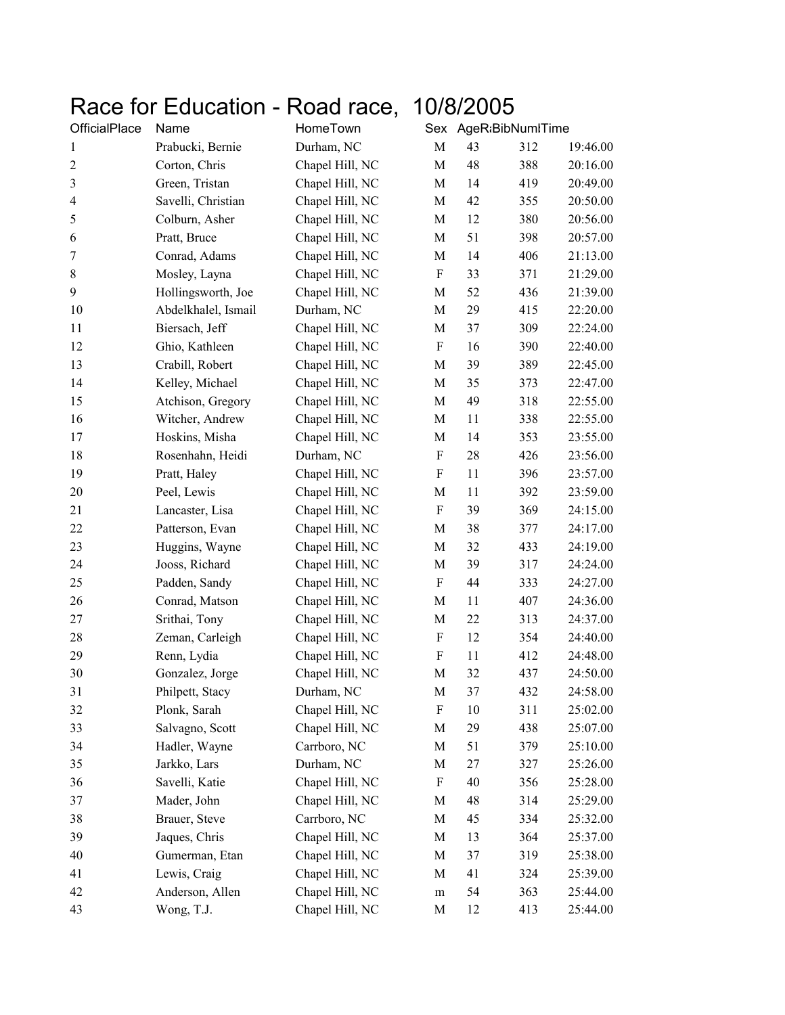## Race for Education - Road race, 10/8/2005

| OfficialPlace  | Name                | HomeTown        | Sex                       | AgeR:BibNumlTime |     |          |
|----------------|---------------------|-----------------|---------------------------|------------------|-----|----------|
| $\mathbf{1}$   | Prabucki, Bernie    | Durham, NC      | M                         | 43               | 312 | 19:46.00 |
| $\sqrt{2}$     | Corton, Chris       | Chapel Hill, NC | M                         | 48               | 388 | 20:16.00 |
| $\mathfrak{Z}$ | Green, Tristan      | Chapel Hill, NC | М                         | 14               | 419 | 20:49.00 |
| 4              | Savelli, Christian  | Chapel Hill, NC | М                         | 42               | 355 | 20:50.00 |
| $\mathfrak s$  | Colburn, Asher      | Chapel Hill, NC | М                         | 12               | 380 | 20:56.00 |
| 6              | Pratt, Bruce        | Chapel Hill, NC | М                         | 51               | 398 | 20:57.00 |
| $\tau$         | Conrad, Adams       | Chapel Hill, NC | М                         | 14               | 406 | 21:13.00 |
| $8\,$          | Mosley, Layna       | Chapel Hill, NC | F                         | 33               | 371 | 21:29.00 |
| 9              | Hollingsworth, Joe  | Chapel Hill, NC | M                         | 52               | 436 | 21:39.00 |
| 10             | Abdelkhalel, Ismail | Durham, NC      | M                         | 29               | 415 | 22:20.00 |
| 11             | Biersach, Jeff      | Chapel Hill, NC | М                         | 37               | 309 | 22:24.00 |
| 12             | Ghio, Kathleen      | Chapel Hill, NC | F                         | 16               | 390 | 22:40.00 |
| 13             | Crabill, Robert     | Chapel Hill, NC | М                         | 39               | 389 | 22:45.00 |
| 14             | Kelley, Michael     | Chapel Hill, NC | М                         | 35               | 373 | 22:47.00 |
| 15             | Atchison, Gregory   | Chapel Hill, NC | М                         | 49               | 318 | 22:55.00 |
| 16             | Witcher, Andrew     | Chapel Hill, NC | М                         | 11               | 338 | 22:55.00 |
| 17             | Hoskins, Misha      | Chapel Hill, NC | М                         | 14               | 353 | 23:55.00 |
| 18             | Rosenhahn, Heidi    | Durham, NC      | $\boldsymbol{\mathrm{F}}$ | 28               | 426 | 23:56.00 |
| 19             | Pratt, Haley        | Chapel Hill, NC | F                         | 11               | 396 | 23:57.00 |
| 20             | Peel, Lewis         | Chapel Hill, NC | M                         | 11               | 392 | 23:59.00 |
| 21             | Lancaster, Lisa     | Chapel Hill, NC | F                         | 39               | 369 | 24:15.00 |
| 22             | Patterson, Evan     | Chapel Hill, NC | М                         | 38               | 377 | 24:17.00 |
| 23             | Huggins, Wayne      | Chapel Hill, NC | М                         | 32               | 433 | 24:19.00 |
| 24             | Jooss, Richard      | Chapel Hill, NC | М                         | 39               | 317 | 24:24.00 |
| 25             | Padden, Sandy       | Chapel Hill, NC | F                         | 44               | 333 | 24:27.00 |
| 26             | Conrad, Matson      | Chapel Hill, NC | М                         | 11               | 407 | 24:36.00 |
| 27             | Srithai, Tony       | Chapel Hill, NC | М                         | 22               | 313 | 24:37.00 |
| 28             | Zeman, Carleigh     | Chapel Hill, NC | F                         | 12               | 354 | 24:40.00 |
| 29             | Renn, Lydia         | Chapel Hill, NC | F                         | 11               | 412 | 24:48.00 |
| 30             | Gonzalez, Jorge     | Chapel Hill, NC | M                         | 32               | 437 | 24:50.00 |
| 31             | Philpett, Stacy     | Durham, NC      | M                         | 37               | 432 | 24:58.00 |
| 32             | Plonk, Sarah        | Chapel Hill, NC | F                         | 10               | 311 | 25:02.00 |
| 33             | Salvagno, Scott     | Chapel Hill, NC | M                         | 29               | 438 | 25:07.00 |
| 34             | Hadler, Wayne       | Carrboro, NC    | M                         | 51               | 379 | 25:10.00 |
| 35             | Jarkko, Lars        | Durham, NC      | М                         | 27               | 327 | 25:26.00 |
| 36             | Savelli, Katie      | Chapel Hill, NC | F                         | 40               | 356 | 25:28.00 |
| 37             | Mader, John         | Chapel Hill, NC | M                         | 48               | 314 | 25:29.00 |
| 38             | Brauer, Steve       | Carrboro, NC    | М                         | 45               | 334 | 25:32.00 |
| 39             | Jaques, Chris       | Chapel Hill, NC | M                         | 13               | 364 | 25:37.00 |
| 40             | Gumerman, Etan      | Chapel Hill, NC | M                         | 37               | 319 | 25:38.00 |
| 41             | Lewis, Craig        | Chapel Hill, NC | М                         | 41               | 324 | 25:39.00 |
| 42             | Anderson, Allen     | Chapel Hill, NC | ${\rm m}$                 | 54               | 363 | 25:44.00 |
| 43             | Wong, T.J.          | Chapel Hill, NC | M                         | 12               | 413 | 25:44.00 |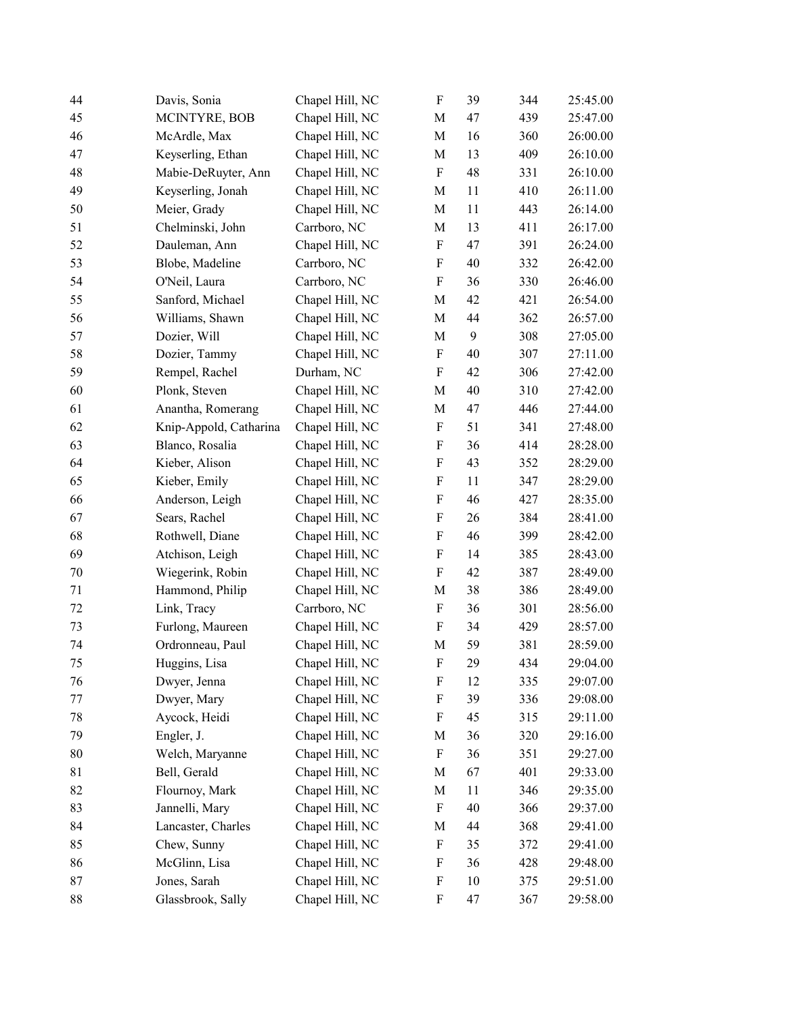| 44     | Davis, Sonia           | Chapel Hill, NC | ${\bf F}$                 | 39 | 344 | 25:45.00 |
|--------|------------------------|-----------------|---------------------------|----|-----|----------|
| 45     | MCINTYRE, BOB          | Chapel Hill, NC | M                         | 47 | 439 | 25:47.00 |
| 46     | McArdle, Max           | Chapel Hill, NC | M                         | 16 | 360 | 26:00.00 |
| 47     | Keyserling, Ethan      | Chapel Hill, NC | M                         | 13 | 409 | 26:10.00 |
| 48     | Mabie-DeRuyter, Ann    | Chapel Hill, NC | $\boldsymbol{\mathrm{F}}$ | 48 | 331 | 26:10.00 |
| 49     | Keyserling, Jonah      | Chapel Hill, NC | M                         | 11 | 410 | 26:11.00 |
| 50     | Meier, Grady           | Chapel Hill, NC | M                         | 11 | 443 | 26:14.00 |
| 51     | Chelminski, John       | Carrboro, NC    | M                         | 13 | 411 | 26:17.00 |
| 52     | Dauleman, Ann          | Chapel Hill, NC | F                         | 47 | 391 | 26:24.00 |
| 53     | Blobe, Madeline        | Carrboro, NC    | $\boldsymbol{\mathrm{F}}$ | 40 | 332 | 26:42.00 |
| 54     | O'Neil, Laura          | Carrboro, NC    | $\boldsymbol{\mathrm{F}}$ | 36 | 330 | 26:46.00 |
| 55     | Sanford, Michael       | Chapel Hill, NC | $\mathbf M$               | 42 | 421 | 26:54.00 |
| 56     | Williams, Shawn        | Chapel Hill, NC | M                         | 44 | 362 | 26:57.00 |
| 57     | Dozier, Will           | Chapel Hill, NC | M                         | 9  | 308 | 27:05.00 |
| 58     | Dozier, Tammy          | Chapel Hill, NC | F                         | 40 | 307 | 27:11.00 |
| 59     | Rempel, Rachel         | Durham, NC      | F                         | 42 | 306 | 27:42.00 |
| 60     | Plonk, Steven          | Chapel Hill, NC | $\mathbf M$               | 40 | 310 | 27:42.00 |
| 61     | Anantha, Romerang      | Chapel Hill, NC | M                         | 47 | 446 | 27:44.00 |
| 62     | Knip-Appold, Catharina | Chapel Hill, NC | $\boldsymbol{\mathrm{F}}$ | 51 | 341 | 27:48.00 |
| 63     | Blanco, Rosalia        | Chapel Hill, NC | F                         | 36 | 414 | 28:28.00 |
| 64     | Kieber, Alison         | Chapel Hill, NC | F                         | 43 | 352 | 28:29.00 |
| 65     | Kieber, Emily          | Chapel Hill, NC | $\boldsymbol{\mathrm{F}}$ | 11 | 347 | 28:29.00 |
| 66     | Anderson, Leigh        | Chapel Hill, NC | ${\bf F}$                 | 46 | 427 | 28:35.00 |
| 67     | Sears, Rachel          | Chapel Hill, NC | F                         | 26 | 384 | 28:41.00 |
| 68     | Rothwell, Diane        | Chapel Hill, NC | F                         | 46 | 399 | 28:42.00 |
| 69     | Atchison, Leigh        | Chapel Hill, NC | $\boldsymbol{\mathrm{F}}$ | 14 | 385 | 28:43.00 |
| 70     | Wiegerink, Robin       | Chapel Hill, NC | $\boldsymbol{\mathrm{F}}$ | 42 | 387 | 28:49.00 |
| 71     | Hammond, Philip        | Chapel Hill, NC | M                         | 38 | 386 | 28:49.00 |
| 72     | Link, Tracy            | Carrboro, NC    | F                         | 36 | 301 | 28:56.00 |
| 73     | Furlong, Maureen       | Chapel Hill, NC | $\boldsymbol{\mathrm{F}}$ | 34 | 429 | 28:57.00 |
| 74     | Ordronneau, Paul       | Chapel Hill, NC | M                         | 59 | 381 | 28:59.00 |
| 75     | Huggins, Lisa          | Chapel Hill, NC | ${\bf F}$                 | 29 | 434 | 29:04.00 |
| 76     | Dwyer, Jenna           | Chapel Hill, NC | F                         | 12 | 335 | 29:07.00 |
| 77     | Dwyer, Mary            | Chapel Hill, NC | F                         | 39 | 336 | 29:08.00 |
| 78     | Aycock, Heidi          | Chapel Hill, NC | F                         | 45 | 315 | 29:11.00 |
| 79     | Engler, J.             | Chapel Hill, NC | M                         | 36 | 320 | 29:16.00 |
| $80\,$ | Welch, Maryanne        | Chapel Hill, NC | $\boldsymbol{\mathrm{F}}$ | 36 | 351 | 29:27.00 |
| 81     | Bell, Gerald           | Chapel Hill, NC | M                         | 67 | 401 | 29:33.00 |
| 82     | Flournoy, Mark         | Chapel Hill, NC | M                         | 11 | 346 | 29:35.00 |
| 83     | Jannelli, Mary         | Chapel Hill, NC | $\boldsymbol{\mathrm{F}}$ | 40 | 366 | 29:37.00 |
| 84     | Lancaster, Charles     | Chapel Hill, NC | M                         | 44 | 368 | 29:41.00 |
| 85     | Chew, Sunny            | Chapel Hill, NC | $\boldsymbol{\mathrm{F}}$ | 35 | 372 | 29:41.00 |
| 86     | McGlinn, Lisa          | Chapel Hill, NC | F                         | 36 | 428 | 29:48.00 |
| 87     | Jones, Sarah           | Chapel Hill, NC | F                         | 10 | 375 | 29:51.00 |
| 88     | Glassbrook, Sally      | Chapel Hill, NC | $\boldsymbol{\mathrm{F}}$ | 47 | 367 | 29:58.00 |